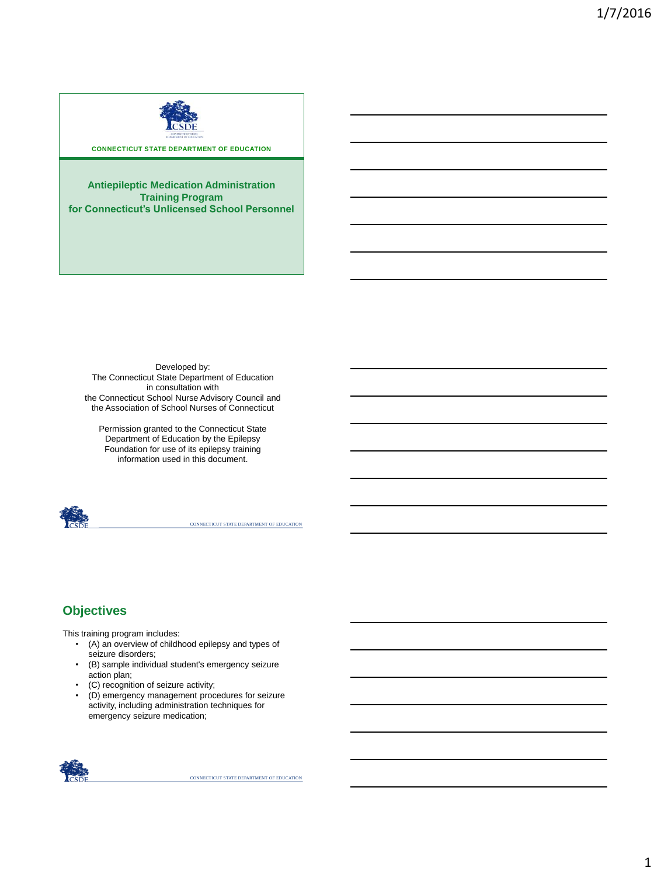

**CONNECTICUT STATE DEPARTMENT OF EDUCATION** 

**Antiepileptic Medication Administration Training Program for Connecticut's Unlicensed School Personnel**

Developed by: The Connecticut State Department of Education in consultation with the Connecticut School Nurse Advisory Council and the Association of School Nurses of Connecticut

Permission granted to the Connecticut State Department of Education by the Epilepsy Foundation for use of its epilepsy training information used in this document.



CONNECTICUT STATE DEPARTMENT OF EDUCATION

## **Objectives**

This training program includes:

- (A) an overview of childhood epilepsy and types of seizure disorders;
- (B) sample individual student's emergency seizure action plan;
- (C) recognition of seizure activity;
- (D) emergency management procedures for seizure activity, including administration techniques for emergency seizure medication;

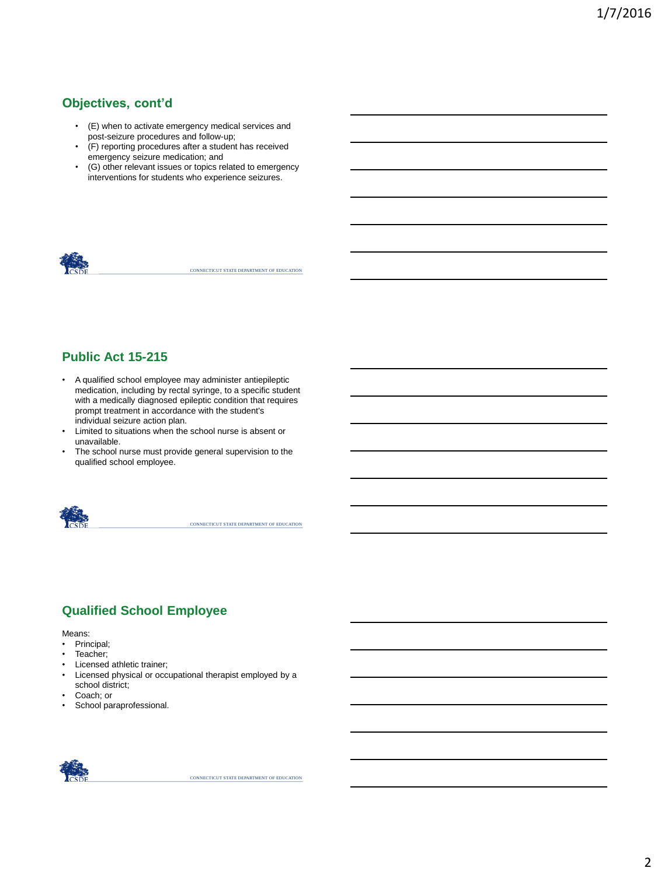## **Objectives, cont'd**

- (E) when to activate emergency medical services and post-seizure procedures and follow-up;
- (F) reporting procedures after a student has received emergency seizure medication; and
- (G) other relevant issues or topics related to emergency interventions for students who experience seizures.



CONNECTICUT STATE DEPARTMENT OF EDUCATION

## **Public Act 15-215**

- A qualified school employee may administer antiepileptic medication, including by rectal syringe, to a specific student with a medically diagnosed epileptic condition that requires prompt treatment in accordance with the student's individual seizure action plan.
- Limited to situations when the school nurse is absent or unavailable.
- The school nurse must provide general supervision to the qualified school employee.



CONNECTICUT STATE DEPARTMENT OF EDUCATION

# **Qualified School Employee**

Means:

- Principal;
- Teacher;
- Licensed athletic trainer;
- Licensed physical or occupational therapist employed by a school district;
- Coach; or
- School paraprofessional.

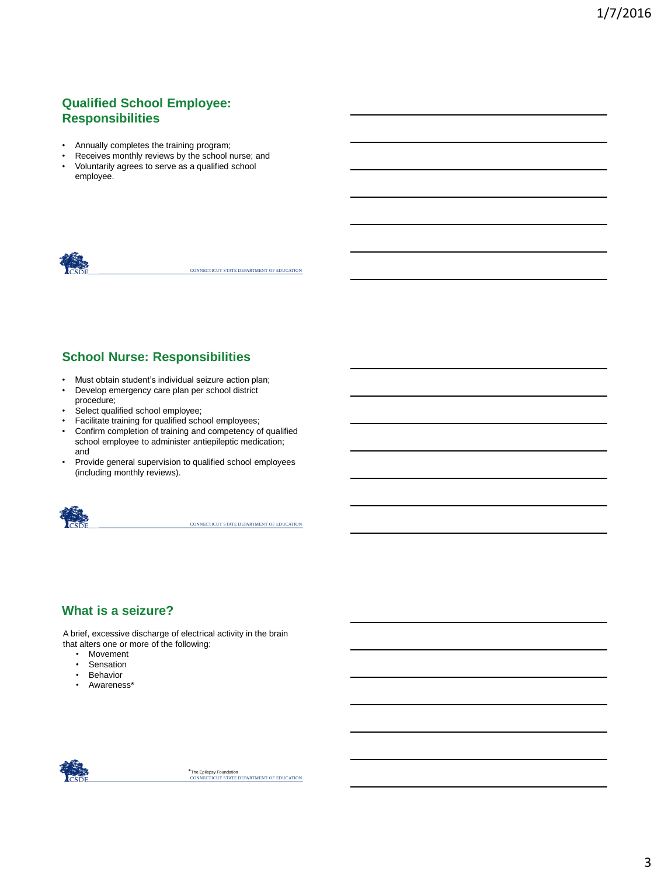# **Qualified School Employee: Responsibilities**

- Annually completes the training program;
- Receives monthly reviews by the school nurse; and • Voluntarily agrees to serve as a qualified school
- employee.



CONNECTICUT STATE DEPARTMENT OF EDUCATION

# **School Nurse: Responsibilities**

- Must obtain student's individual seizure action plan;
- Develop emergency care plan per school district
- procedure;
- Select qualified school employee;
- Facilitate training for qualified school employees;
- Confirm completion of training and competency of qualified school employee to administer antiepileptic medication; and
- Provide general supervision to qualified school employees (including monthly reviews).



CONNECTICUT STATE DEPARTMENT OF EDUCATION

# **What is a seizure?**

A brief, excessive discharge of electrical activity in the brain that alters one or more of the following:

- Movement
- Sensation
- Behavior
- Awareness\*

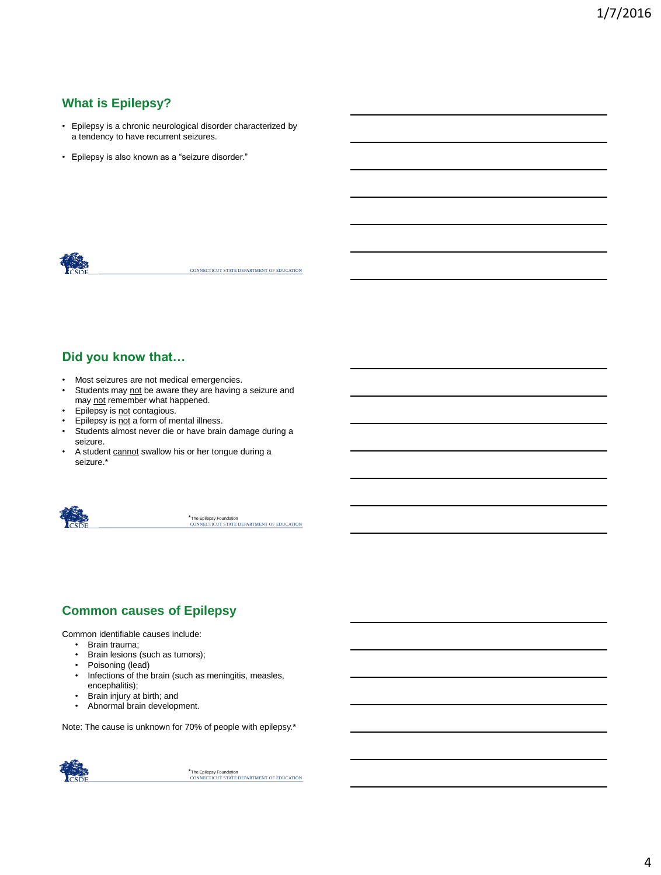## **What is Epilepsy?**

- Epilepsy is a chronic neurological disorder characterized by a tendency to have recurrent seizures.
- Epilepsy is also known as a "seizure disorder."



CONNECTICUT STATE DEPARTMENT OF EDUCATION

## **Did you know that…**

- Most seizures are not medical emergencies.
- Students may not be aware they are having a seizure and may not remember what happened.
- Epilepsy is not contagious.
- Epilepsy is not a form of mental illness.
- Students almost never die or have brain damage during a seizure.
- A student cannot swallow his or her tongue during a seizure.\*



\*The Epilepsy Foundation<br>CONNECTICUT STATE DEPARTMENT OF EDUCATION

# **Common causes of Epilepsy**

Common identifiable causes include:

- Brain trauma;
- Brain lesions (such as tumors);
- Poisoning (lead)
- Infections of the brain (such as meningitis, measles, encephalitis);
- Brain injury at birth; and
- Abnormal brain development.

Note: The cause is unknown for 70% of people with epilepsy.\*

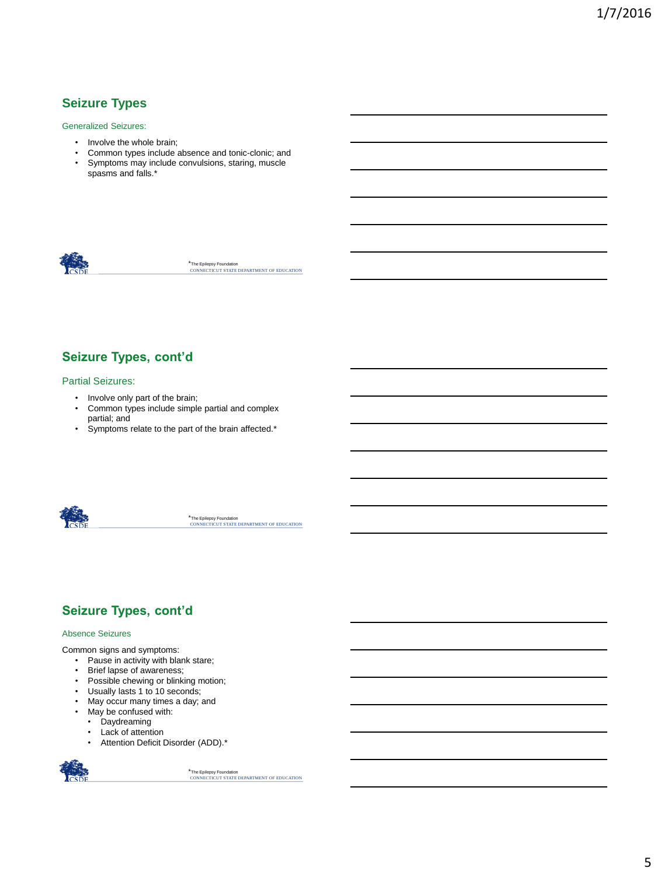# **Seizure Types**

Generalized Seizures:

- Involve the whole brain;
- Common types include absence and tonic-clonic; and
- Symptoms may include convulsions, staring, muscle spasms and falls.\*



\*The Epilepsy Foundation<br>CONNECTICUT STATE DEPARTMENT OF EDUCATION

## **Seizure Types, cont'd**

#### Partial Seizures:

- Involve only part of the brain;<br>• Common types include simple
- Common types include simple partial and complex partial; and
- Symptoms relate to the part of the brain affected.\*



\*The Epilepsy Foundation<br>CONNECTICUT STATE DEPARTMENT OF EDUCATION

## **Seizure Types, cont'd**

#### Absence Seizures

Common signs and symptoms:

- Pause in activity with blank stare;
- Brief lapse of awareness;
- Possible chewing or blinking motion;
- Usually lasts 1 to 10 seconds;
- May occur many times a day; and
- May be confused with:
- Daydreaming
- Lack of attention
- Attention Deficit Disorder (ADD).\*

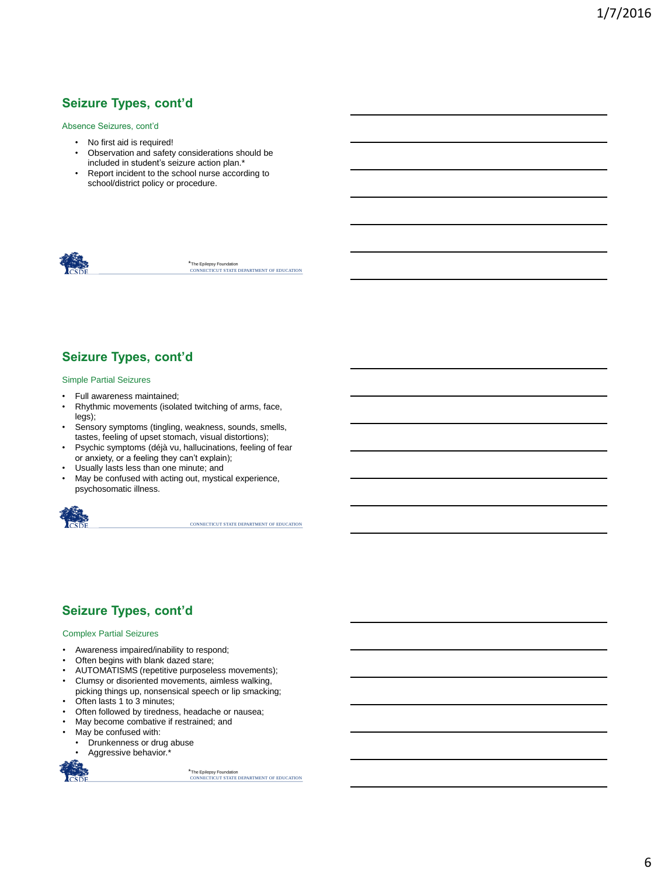## **Seizure Types, cont'd**

#### Absence Seizures, cont'd

- No first aid is required!
- Observation and safety considerations should be included in student's seizure action plan.\*
- Report incident to the school nurse according to school/district policy or procedure.



\*The Epilepsy Foundation<br>CONNECTICUT STATE DEPARTMENT OF EDUCATION

## **Seizure Types, cont'd**

#### Simple Partial Seizures

- Full awareness maintained;
- Rhythmic movements (isolated twitching of arms, face, legs);
- Sensory symptoms (tingling, weakness, sounds, smells, tastes, feeling of upset stomach, visual distortions);
- Psychic symptoms (déjà vu, hallucinations, feeling of fear or anxiety, or a feeling they can't explain);
- Usually lasts less than one minute; and
- May be confused with acting out, mystical experience, psychosomatic illness.



CONNECTICUT STATE DEPARTMENT OF EDUCATION

## **Seizure Types, cont'd**

#### Complex Partial Seizures

- Awareness impaired/inability to respond;
- Often begins with blank dazed stare;
- AUTOMATISMS (repetitive purposeless movements);
- Clumsy or disoriented movements, aimless walking,
- picking things up, nonsensical speech or lip smacking;
- Often lasts 1 to 3 minutes;
- Often followed by tiredness, headache or nausea;
- May become combative if restrained; and
- May be confused with:
	- Drunkenness or drug abuse
	- Aggressive behavior.\*

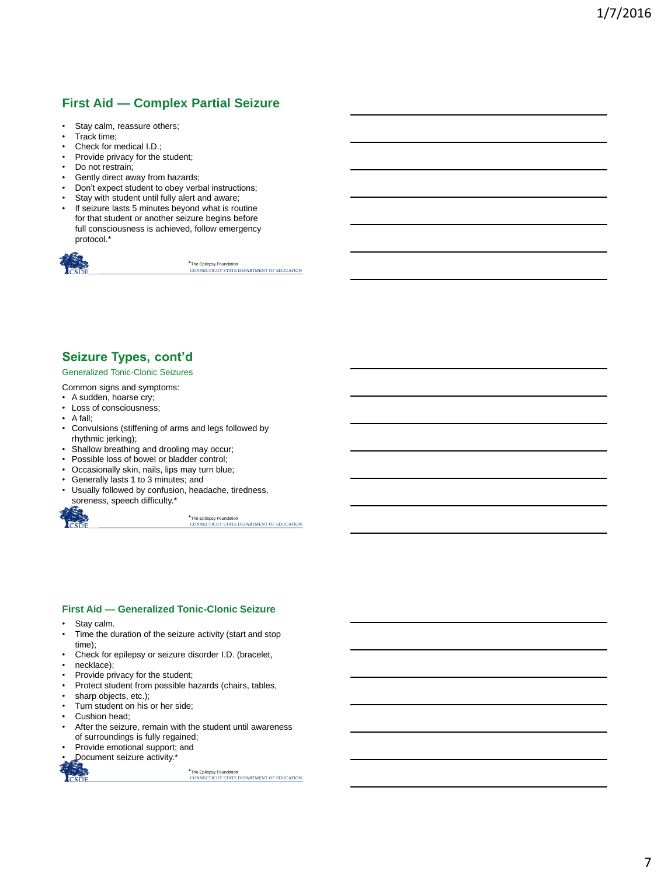# **First Aid — Complex Partial Seizure**

- Stay calm, reassure others;
- Track time;
- Check for medical I.D.;
- Provide privacy for the student;
- Do not restrain;
- Gently direct away from hazards;
- Don't expect student to obey verbal instructions;
- Stay with student until fully alert and aware;
- If seizure lasts 5 minutes beyond what is routine for that student or another seizure begins before full consciousness is achieved, follow emergency protocol.\*



\*The Epilepsy Foundation<br>CONNECTICUT STATE DEPARTMENT OF EDUCATION

#### **Seizure Types, cont'd**

#### Generalized Tonic-Clonic Seizures

Common signs and symptoms:

- A sudden, hoarse cry;
- Loss of consciousness;
- A fall;
- Convulsions (stiffening of arms and legs followed by rhythmic jerking);
- Shallow breathing and drooling may occur;
- Possible loss of bowel or bladder control;
- Occasionally skin, nails, lips may turn blue;
- Generally lasts 1 to 3 minutes; and
- Usually followed by confusion, headache, tiredness, soreness, speech difficulty.\*



\*The Epilepsy Foundation<br>CONNECTICUT STATE DEPARTMENT OF EDUCATION

#### **First Aid — Generalized Tonic-Clonic Seizure**

- Stay calm.
- Time the duration of the seizure activity (start and stop time);
- Check for epilepsy or seizure disorder I.D. (bracelet,
- necklace);
- Provide privacy for the student;
- Protect student from possible hazards (chairs, tables,
- sharp objects, etc.);
- Turn student on his or her side;
- Cushion head;
- After the seizure, remain with the student until awareness of surroundings is fully regained;
- Provide emotional support; and
- Document seizure activity.\*

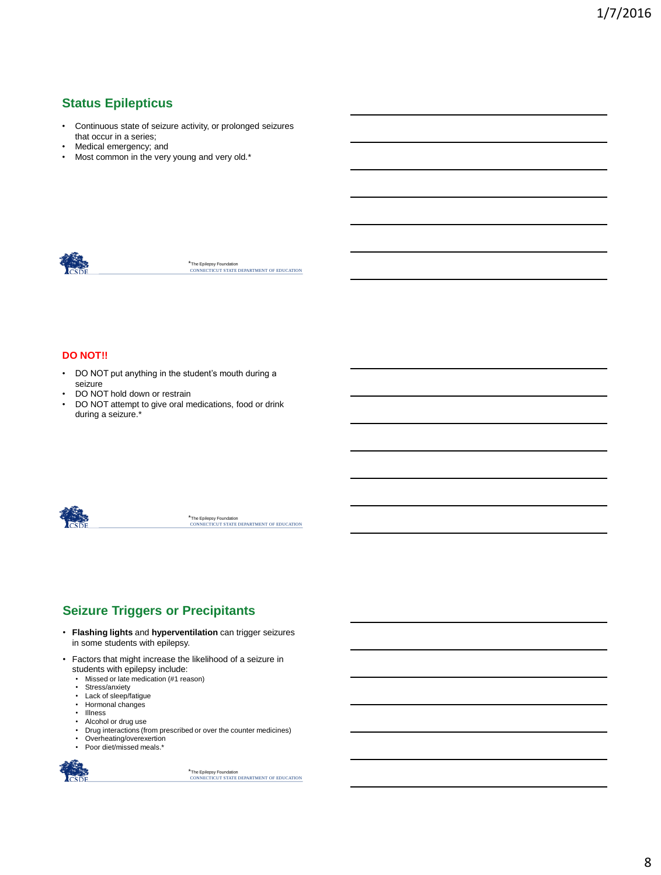# **Status Epilepticus**

- Continuous state of seizure activity, or prolonged seizures that occur in a series;
- Medical emergency; and
- Most common in the very young and very old.\*



\*The Epilepsy Foundation<br>CONNECTICUT STATE DEPARTMENT OF EDUCATION

#### **DO NOT!!**

- DO NOT put anything in the student's mouth during a seizure
- DO NOT hold down or restrain
- DO NOT attempt to give oral medications, food or drink during a seizure.\*



\*The Epilepsy Foundation<br>CONNECTICUT STATE DEPARTMENT OF EDUCATION

# **Seizure Triggers or Precipitants**

- **Flashing lights** and **hyperventilation** can trigger seizures in some students with epilepsy.
- Factors that might increase the likelihood of a seizure in students with epilepsy include:
	- Missed or late medication (#1 reason)
	-
	- Stress/anxiety Lack of sleep/fatigue
	- Hormonal changes<br>• Illness
	- **Illness**
	-
	- Alcohol or drug use Drug interactions (from prescribed or over the counter medicines)
	- Overheating/overexertion
	- Poor diet/missed meals.\*

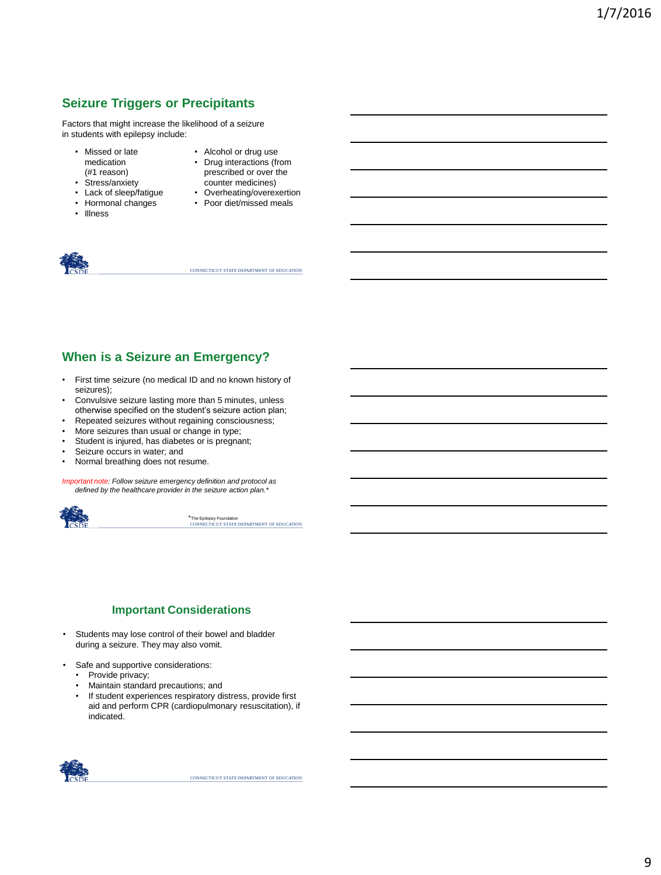# **Seizure Triggers or Precipitants**

Factors that might increase the likelihood of a seizure in students with epilepsy include:

- Missed or late medication (#1 reason)
- Stress/anxiety
- Lack of sleep/fatigue
- Hormonal changes
- Illness
- Alcohol or drug use
- Drug interactions (from prescribed or over the counter medicines)
- Overheating/overexertion
- Poor diet/missed meals



CONNECTICUT STATE DEPARTMENT OF EDUCATION

## **When is a Seizure an Emergency?**

- First time seizure (no medical ID and no known history of seizures);
- Convulsive seizure lasting more than 5 minutes, unless otherwise specified on the student's seizure action plan;
- Repeated seizures without regaining consciousness;
- More seizures than usual or change in type;
- Student is injured, has diabetes or is pregnant;
- Seizure occurs in water; and
- Normal breathing does not resume.

*Important note: Follow seizure emergency definition and protocol as defined by the healthcare provider in the seizure action plan.\**



\*The Epilepsy Foundation<br>CONNECTICUT STATE DEPARTMENT OF EDUCATION

#### **Important Considerations**

- Students may lose control of their bowel and bladder during a seizure. They may also vomit.
- Safe and supportive considerations:
	- Provide privacy;
	- Maintain standard precautions; and
	- If student experiences respiratory distress, provide first aid and perform CPR (cardiopulmonary resuscitation), if indicated.

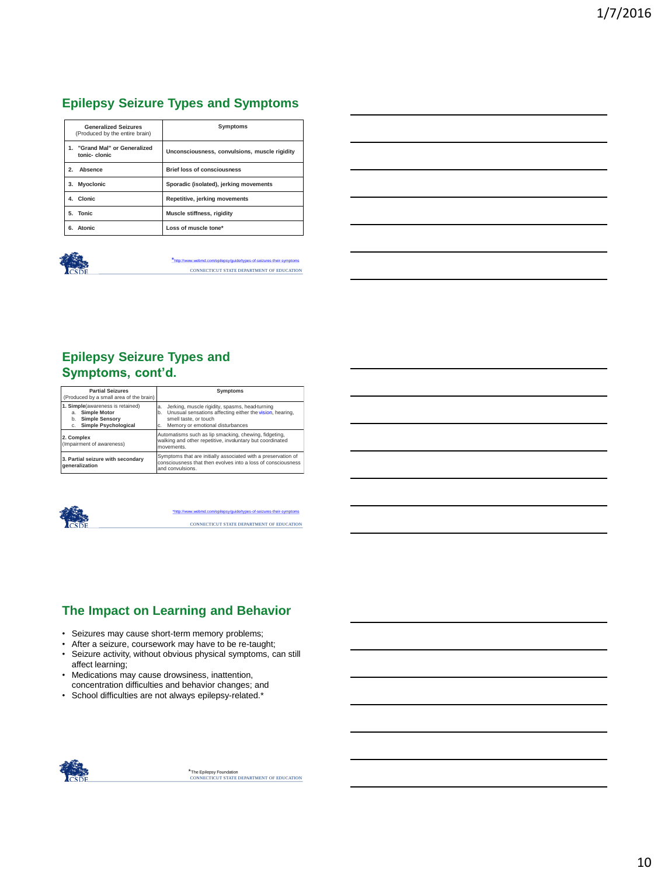# **Epilepsy Seizure Types and Symptoms**

| <b>Generalized Seizures</b><br>(Produced by the entire brain) | Symptoms                                      |  |
|---------------------------------------------------------------|-----------------------------------------------|--|
| 1. "Grand Mal" or Generalized<br>tonic-clonic                 | Unconsciousness, convulsions, muscle rigidity |  |
| Absence<br>2.                                                 | <b>Brief loss of consciousness</b>            |  |
| <b>Myoclonic</b><br>3.                                        | Sporadic (isolated), jerking movements        |  |
| 4. Clonic                                                     | Repetitive, jerking movements                 |  |
| 5. Tonic                                                      | Muscle stiffness, rigidity                    |  |
| 6. Atonic                                                     | Loss of muscle tone*                          |  |



#### CONNECTICUT STATE DEPARTMENT OF EDUCATION es-of-seizures-their-sy

## **Epilepsy Seizure Types and Symptoms, cont'd.**

| <b>Partial Seizures</b><br>(Produced by a small area of the brain)                                                                 | Symptoms                                                                                                                                                                                  |  |
|------------------------------------------------------------------------------------------------------------------------------------|-------------------------------------------------------------------------------------------------------------------------------------------------------------------------------------------|--|
| 1. Simple (awareness is retained)<br><b>Simple Motor</b><br>a.<br><b>Simple Sensory</b><br>b.<br><b>Simple Psychological</b><br>c. | Jerking, muscle rigidity, spasms, head-turning<br>a.<br>Unusual sensations affecting either the vision, hearing.<br>b.<br>smell taste, or touch<br>Memory or emotional disturbances<br>c. |  |
| 2. Complex<br>(Impairment of awareness)                                                                                            | Automatisms such as lip smacking, chewing, fidgeting,<br>walking and other repetitive, involuntary but coordinated<br>movements.                                                          |  |
| 3. Partial seizure with secondary<br>generalization                                                                                | Symptoms that are initially associated with a preservation of<br>consciousness that then evolves into a loss of consciousness<br>and convulsions.                                         |  |



CONNECTICUT STATE DEPARTMENT OF EDUCATION [\\*http://www.webmd.com/epilepsy/guide/types-of-seizures-their-symptoms](http://www.webmd.com/epilepsy/guide/types-of-seizures-their-symptoms)

# **The Impact on Learning and Behavior**

- Seizures may cause short-term memory problems;
- After a seizure, coursework may have to be re-taught;
- Seizure activity, without obvious physical symptoms, can still affect learning;
- Medications may cause drowsiness, inattention, concentration difficulties and behavior changes; and
- School difficulties are not always epilepsy-related.\*

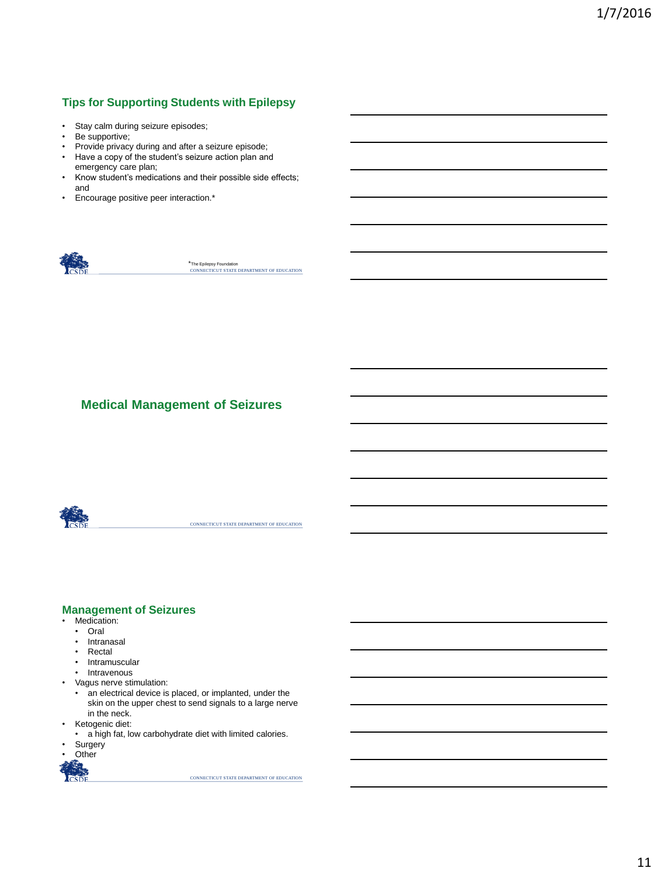## **Tips for Supporting Students with Epilepsy**

- Stay calm during seizure episodes;
- Be supportive;
- Provide privacy during and after a seizure episode;
- Have a copy of the student's seizure action plan and emergency care plan;
- Know student's medications and their possible side effects; and
- Encourage positive peer interaction.\*



\*The Epilepsy Foundation<br>CONNECTICUT STATE DEPARTMENT OF EDUCATION

## **Medical Management of Seizures**



CONNECTICUT STATE DEPARTMENT OF EDUCATION

#### **Management of Seizures**

- Medication:
	- Oral
	- Intranasal
	- Rectal
	- Intramuscular
	- Intravenous
- Vagus nerve stimulation:
	- an electrical device is placed, or implanted, under the skin on the upper chest to send signals to a large nerve in the neck.
- Ketogenic diet:
- a high fat, low carbohydrate diet with limited calories.
- **Surgery**
- Other

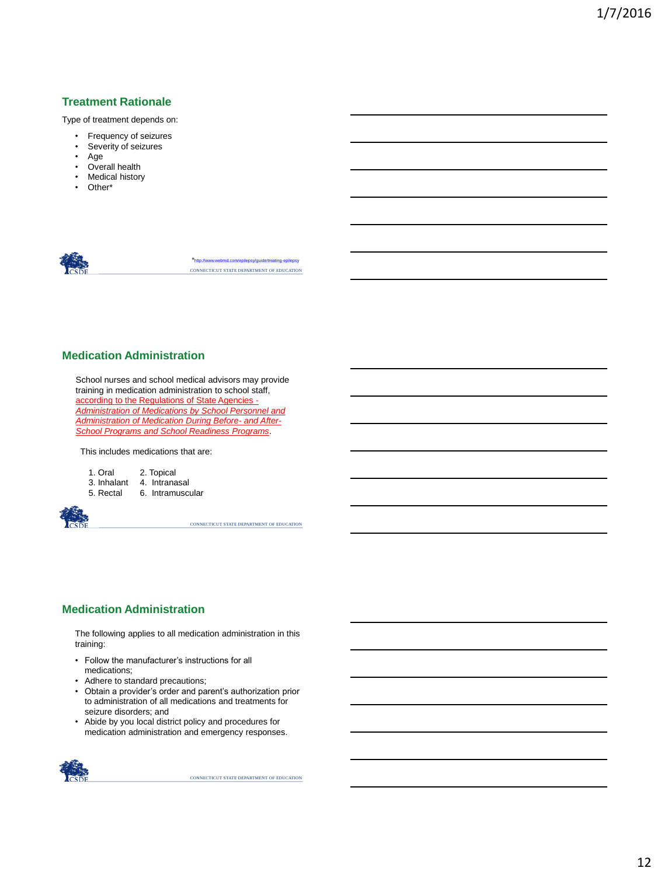#### **Treatment Rationale**

Type of treatment depends on:

- Frequency of seizures
- Severity of seizures
- Age
- Overall health
- **Medical history**
- Other\*



CONNECTICUT STATE DEPARTMENT OF EDUCATION \*<http://www.webmd.com/epilepsy/guide/treating-epilepsy>

#### **Medication Administration**

School nurses and school medical advisors may provide training in medication administration to school staff, according to the Regulations of State Agencies - *Administration of Medications by School Personnel and Administration of Medication During Before- and After-School Programs and School Readiness Programs*.

This includes medications that are:

| 1. Oral | 2. Topical |
|---------|------------|
|         |            |

- 
- 3. Inhalant 4. Intranasal<br>5. Rectal 6. Intramuscu 6. Intramuscular



CONNECTICUT STATE DEPARTMENT OF EDUCATION

#### **Medication Administration**

The following applies to all medication administration in this training:

- Follow the manufacturer's instructions for all medications;
- Adhere to standard precautions;
- Obtain a provider's order and parent's authorization prior to administration of all medications and treatments for seizure disorders; and
- Abide by you local district policy and procedures for medication administration and emergency responses.

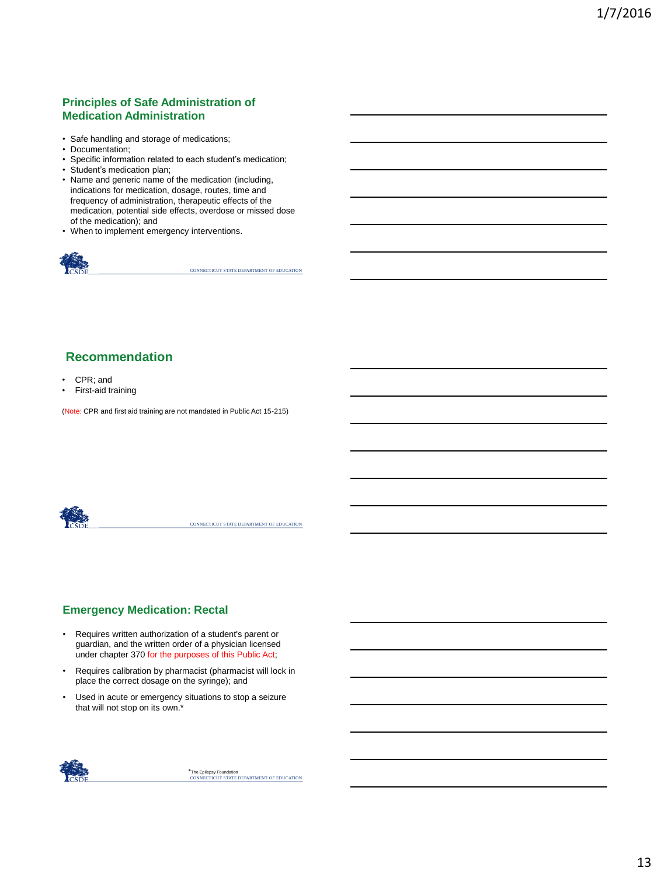#### **Principles of Safe Administration of Medication Administration**

- Safe handling and storage of medications;
- Documentation:
- Specific information related to each student's medication;
- Student's medication plan;
- Name and generic name of the medication (including, indications for medication, dosage, routes, time and frequency of administration, therapeutic effects of the medication, potential side effects, overdose or missed dose of the medication); and
- When to implement emergency interventions.



CONNECTICUT STATE DEPARTMENT OF EDUCATION

## **Recommendation**

- CPR; and
- First-aid training

(Note: CPR and first aid training are not mandated in Public Act 15-215)



CONNECTICUT STATE DEPARTMENT OF EDUCATION

#### **Emergency Medication: Rectal**

- Requires written authorization of a student's parent or guardian, and the written order of a physician licensed under chapter 370 for the purposes of this Public Act;
- Requires calibration by pharmacist (pharmacist will lock in place the correct dosage on the syringe); and
- Used in acute or emergency situations to stop a seizure that will not stop on its own.\*

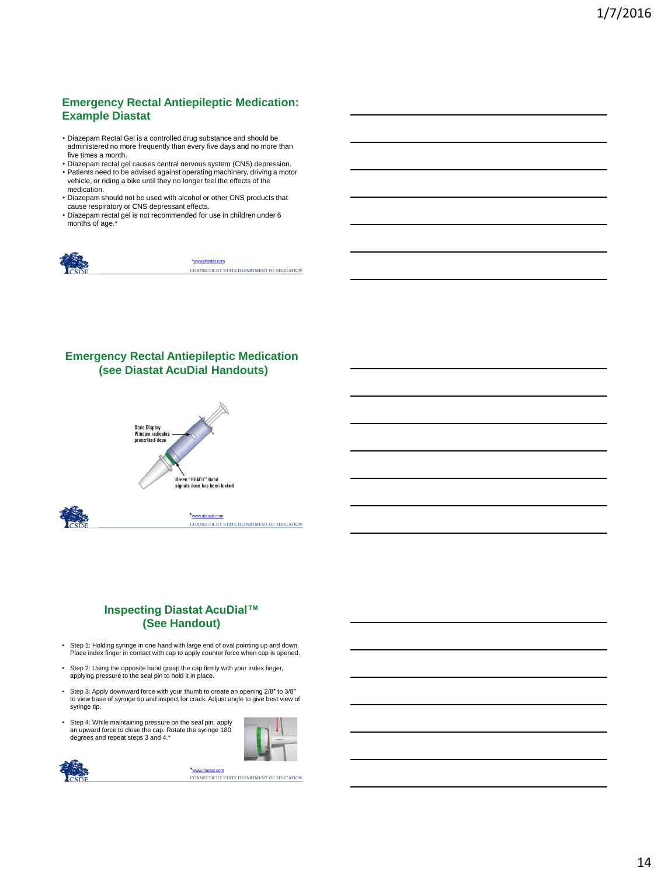## **Emergency Rectal Antiepileptic Medication: Example Diastat**

- Diazepam Rectal Gel is a controlled drug substance and should be administered no more frequently than every five days and no more than five times a month.
- Diazepam rectal gel causes central nervous system (CNS) depression. • Patients need to be advised against operating machinery, driving a motor vehicle, or riding a bike until they no longer feel the effects of the medication.
- Diazepam should not be used with alcohol or other CNS products that cause respiratory or CNS depressant effects.
- Diazepam rectal gel is not recommended for use in children under 6 months of age.\*



CONNECTICUT STATE DEPARTMENT OF EDUCATION \*[www.diastat.com](http://www.diastat.com/)

#### **Emergency Rectal Antiepileptic Medication (see Diastat AcuDial Handouts)**



CONNECTICUT STATE DEPARTMENT OF EDUCATION \*[www.diastat.com](http://www.diastat.com/)

#### **Inspecting Diastat AcuDial™ (See Handout)**

- Step 1: Holding syringe in one hand with large end of oval pointing up and down. Place index finger in contact with cap to apply counter force when cap is opened.
- Step 2: Using the opposite hand grasp the cap firmly with your index finger, applying pressure to the seal pin to hold it in place.
- Step 3: Apply downward force with your thumb to create an opening 2/8″ to 3/8″ to view base of syringe tip and inspect for crack. Adjust angle to give best view of syringe tip.
- Step 4: While maintaining pressure on the seal pin, apply an upward force to close the cap. Rotate the syringe 180 degrees and repeat steps 3 and 4.\*





\*<mark>[www.diastat.com](http://www.diastat.com/)</mark><br>CONNECTICUT STATE DEPARTMENT OF EDUCATION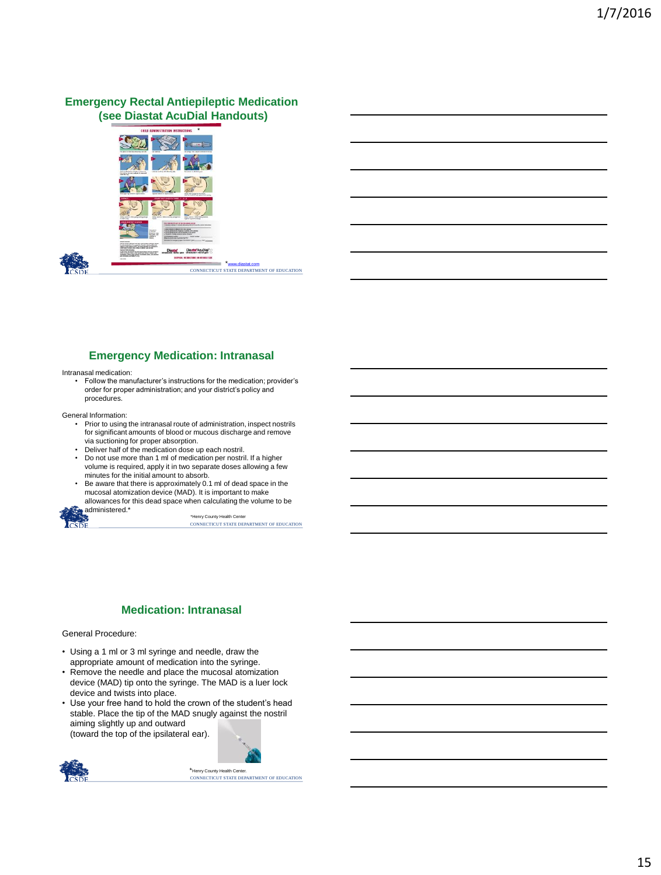#### **Emergency Rectal Antiepileptic Medication (see Diastat AcuDial Handouts)**



#### **Emergency Medication: Intranasal**

Intranasal medication:

• Follow the manufacturer's instructions for the medication; provider's order for proper administration; and your district's policy and procedures.

General Information:

- Prior to using the intranasal route of administration, inspect nostrils for significant amounts of blood or mucous discharge and remove via suctioning for proper absorption. • Deliver half of the medication dose up each nostril.
- 
- Do not use more than 1 ml of medication per nostril. If a higher volume is required, apply it in two separate doses allowing a few minutes for the initial amount to absorb.
- Be aware that there is approximately 0.1 ml of dead space in the mucosal atomization device (MAD). It is important to make allowances for this dead space when calculating the volume to be administered.\*

\*Henry County Health Center<br>CONNECTICUT STATE DEPARTMENT OF EDUCATION

#### **Medication: Intranasal**

#### General Procedure:

- Using a 1 ml or 3 ml syringe and needle, draw the appropriate amount of medication into the syringe.
- Remove the needle and place the mucosal atomization device (MAD) tip onto the syringe. The MAD is a luer lock device and twists into place.
- Use your free hand to hold the crown of the student's head stable. Place the tip of the MAD snugly against the nostril aiming slightly up and outward (toward the top of the ipsilateral ear).

CONNECTICUT STATE DEPARTMENT OF EDUCATION \*Henry County Health Center.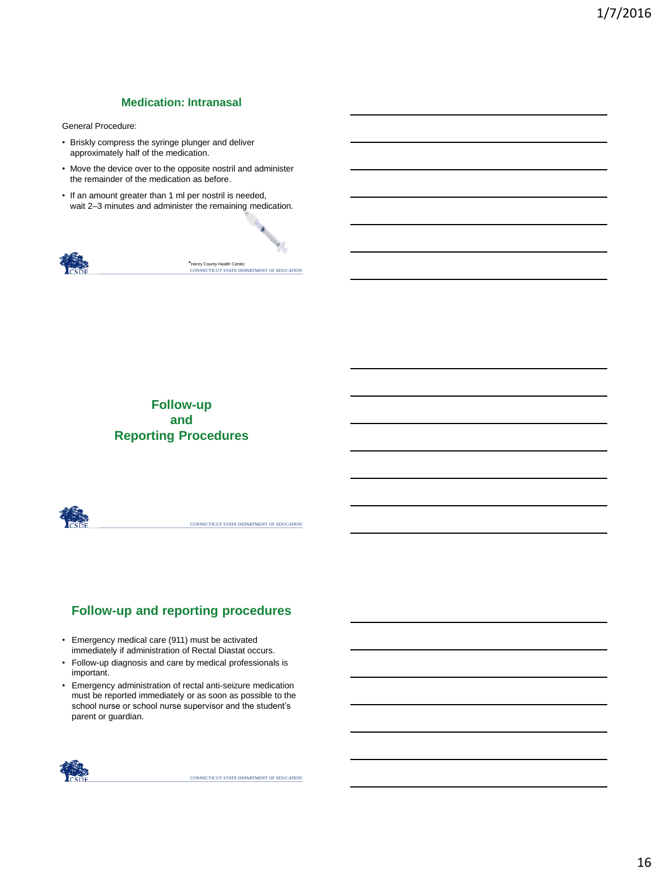#### **Medication: Intranasal**

General Procedure:

- Briskly compress the syringe plunger and deliver approximately half of the medication.
- Move the device over to the opposite nostril and administer the remainder of the medication as before.
- If an amount greater than 1 ml per nostril is needed, wait 2–3 minutes and administer the remaining medication.



\*Henry County Health Center.<br>CONNECTICUT STATE DEPARTMENT OF EDUCATION

## **Follow-up and Reporting Procedures**



CONNECTICUT STATE DEPARTMENT OF EDUCATION

# **Follow-up and reporting procedures**

- Emergency medical care (911) must be activated immediately if administration of Rectal Diastat occurs.
- Follow-up diagnosis and care by medical professionals is important.
- Emergency administration of rectal anti-seizure medication must be reported immediately or as soon as possible to the school nurse or school nurse supervisor and the student's parent or guardian.

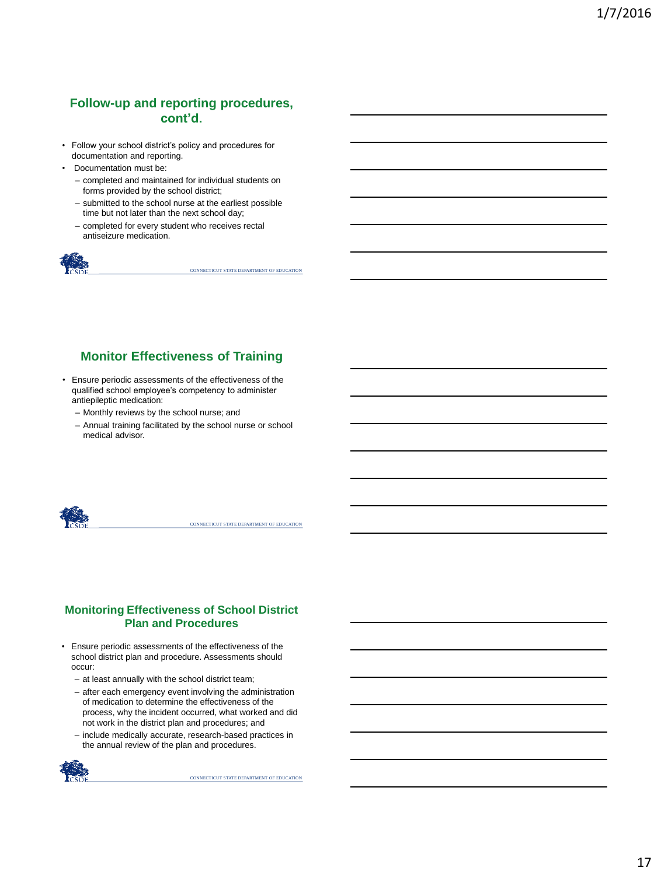## **Follow-up and reporting procedures, cont'd.**

- Follow your school district's policy and procedures for documentation and reporting.
- Documentation must be:
	- completed and maintained for individual students on forms provided by the school district;
	- submitted to the school nurse at the earliest possible time but not later than the next school day;
	- completed for every student who receives rectal antiseizure medication.



CONNECTICUT STATE DEPARTMENT OF EDUCATION

## **Monitor Effectiveness of Training**

- Ensure periodic assessments of the effectiveness of the qualified school employee's competency to administer antiepileptic medication:
	- Monthly reviews by the school nurse; and
	- Annual training facilitated by the school nurse or school medical advisor.



CONNECTICUT STATE DEPARTMENT OF EDUCATION

#### **Monitoring Effectiveness of School District Plan and Procedures**

- Ensure periodic assessments of the effectiveness of the school district plan and procedure. Assessments should occur:
	- at least annually with the school district team;
	- after each emergency event involving the administration of medication to determine the effectiveness of the process, why the incident occurred, what worked and did not work in the district plan and procedures; and
	- include medically accurate, research-based practices in the annual review of the plan and procedures.

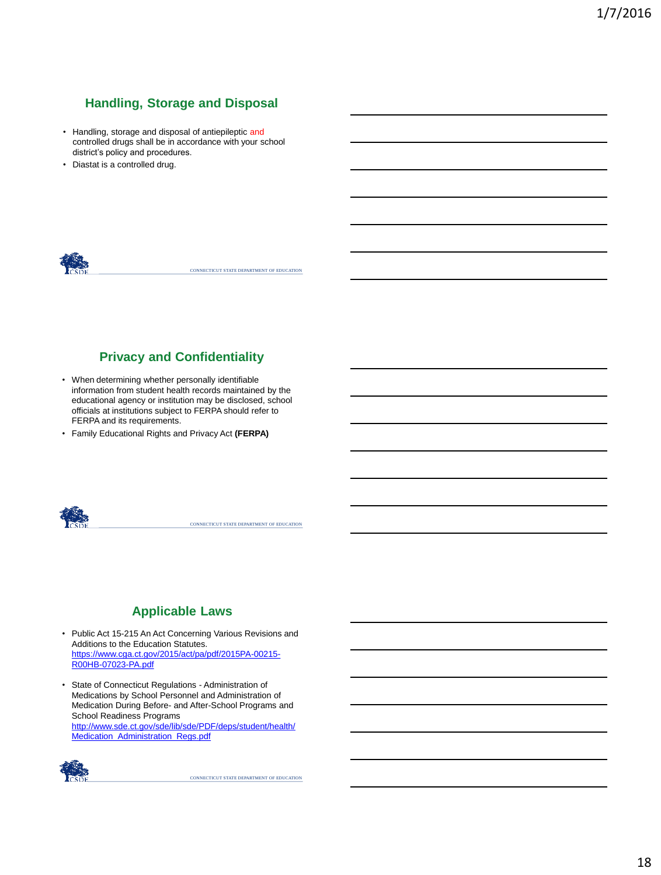# **Handling, Storage and Disposal**

- Handling, storage and disposal of antiepileptic and controlled drugs shall be in accordance with your school district's policy and procedures.
- Diastat is a controlled drug.



CONNECTICUT STATE DEPARTMENT OF EDUCATION

## **Privacy and Confidentiality**

- When determining whether personally identifiable information from student health records maintained by the educational agency or institution may be disclosed, school officials at institutions subject to FERPA should refer to FERPA and its requirements.
- Family Educational Rights and Privacy Act **(FERPA)**



CONNECTICUT STATE DEPARTMENT OF EDUCATION

## **Applicable Laws**

- Public Act 15-215 An Act Concerning Various Revisions and Additions to the Education Statutes. [https://www.cga.ct.gov/2015/act/pa/pdf/2015PA-00215-](https://www.cga.ct.gov/2015/act/pa/pdf/2015PA-00215-R00HB-07023-PA.pdf) R00HB-07023-PA.pdf
- State of Connecticut Regulations Administration of Medications by School Personnel and Administration of Medication During Before- and After-School Programs and School Readiness Programs [http://www.sde.ct.gov/sde/lib/sde/PDF/deps/student/health/](http://www.sde.ct.gov/sde/lib/sde/PDF/deps/student/health/Medication_Administration_Regs.pdf) Medication\_Administration\_Regs.pdf

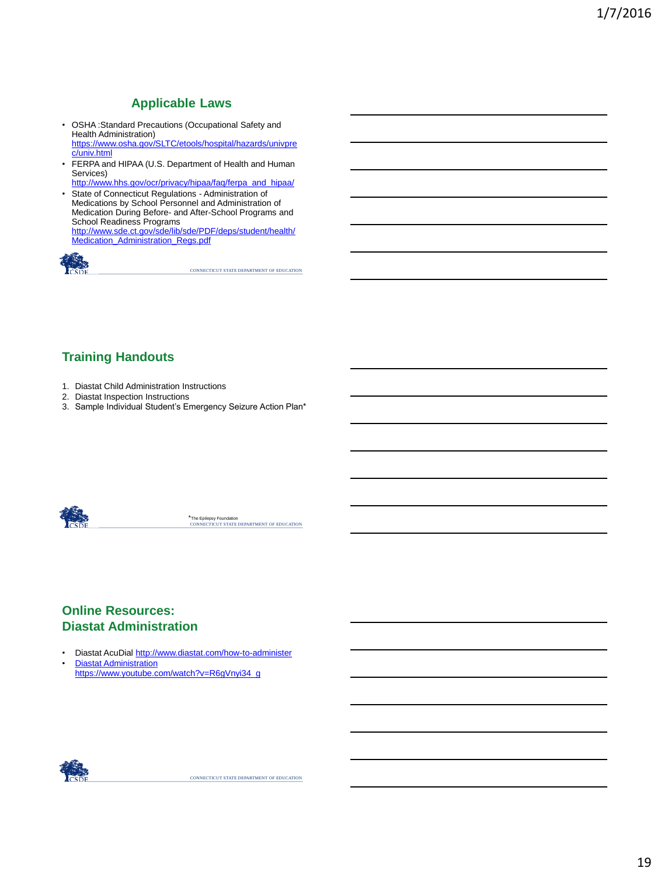## **Applicable Laws**

- OSHA :Standard Precautions (Occupational Safety and Health Administration) [https://www.osha.gov/SLTC/etools/hospital/hazards/univpre](https://www.osha.gov/SLTC/etools/hospital/hazards/univprec/univ.html)
- c/univ.html • FERPA and HIPAA (U.S. Department of Health and Human Services)
- [http://www.hhs.gov/ocr/privacy/hipaa/faq/ferpa\\_and\\_hipaa/](http://www.hhs.gov/ocr/privacy/hipaa/faq/ferpa_and_hipaa/)
- State of Connecticut Regulations Administration of Medications by School Personnel and Administration of Medication During Before- and After-School Programs and School Readiness Programs [http://www.sde.ct.gov/sde/lib/sde/PDF/deps/student/health/](http://www.sde.ct.gov/sde/lib/sde/PDF/deps/student/health/Medication_Administration_Regs.pdf) Medication\_Administration\_Regs.pdf



CONNECTICUT STATE DEPARTMENT OF EDUCATION

## **Training Handouts**

- 1. Diastat Child Administration Instructions
- 2. Diastat Inspection Instructions
- 3. Sample Individual Student's Emergency Seizure Action Plan\*



\*The Epilepsy Foundation<br>CONNECTICUT STATE DEPARTMENT OF EDUCATION

## **Online Resources: Diastat Administration**

- Diastat AcuDial<http://www.diastat.com/how-to-administer>
- Diastat Administration [https://www.youtube.com/watch?v=R6gVnyi34\\_g](https://www.youtube.com/watch?v=R6gVnyi34_g)